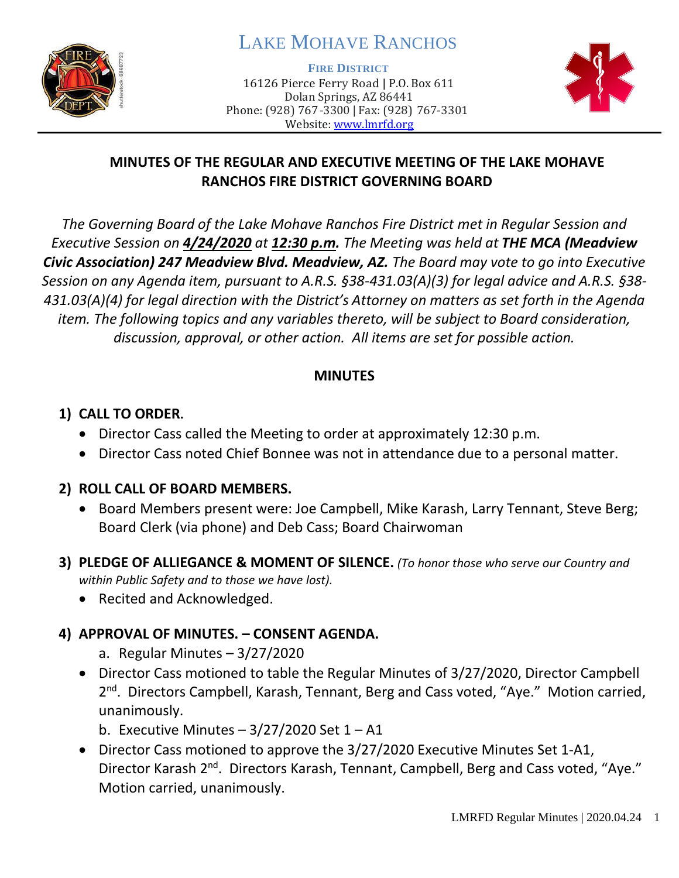

# LAKE MOHAVE RANCHOS

**FIRE DISTRICT**

16126 Pierce Ferry Road | P.O. Box 611 Dolan Springs, AZ 86441 Phone: (928) 767-3300 | Fax: (928) 767-3301 Website: [www.lmrfd.org](http://www.lmrfd.org/)



# **MINUTES OF THE REGULAR AND EXECUTIVE MEETING OF THE LAKE MOHAVE RANCHOS FIRE DISTRICT GOVERNING BOARD**

*The Governing Board of the Lake Mohave Ranchos Fire District met in Regular Session and Executive Session on 4/24/2020 at 12:30 p.m. The Meeting was held at THE MCA (Meadview Civic Association) 247 Meadview Blvd. Meadview, AZ. The Board may vote to go into Executive Session on any Agenda item, pursuant to A.R.S. §38-431.03(A)(3) for legal advice and A.R.S. §38- 431.03(A)(4) for legal direction with the District's Attorney on matters as set forth in the Agenda item. The following topics and any variables thereto, will be subject to Board consideration, discussion, approval, or other action. All items are set for possible action.* 

#### **MINUTES**

## **1) CALL TO ORDER.**

- Director Cass called the Meeting to order at approximately 12:30 p.m.
- Director Cass noted Chief Bonnee was not in attendance due to a personal matter.

#### **2) ROLL CALL OF BOARD MEMBERS.**

- Board Members present were: Joe Campbell, Mike Karash, Larry Tennant, Steve Berg; Board Clerk (via phone) and Deb Cass; Board Chairwoman
- **3) PLEDGE OF ALLIEGANCE & MOMENT OF SILENCE.** *(To honor those who serve our Country and within Public Safety and to those we have lost).*
	- Recited and Acknowledged.

# **4) APPROVAL OF MINUTES. – CONSENT AGENDA.**

- a. Regular Minutes 3/27/2020
- Director Cass motioned to table the Regular Minutes of 3/27/2020, Director Campbell 2<sup>nd</sup>. Directors Campbell, Karash, Tennant, Berg and Cass voted, "Aye." Motion carried, unanimously.
	- b. Executive Minutes  $-3/27/2020$  Set  $1 A1$
- Director Cass motioned to approve the 3/27/2020 Executive Minutes Set 1-A1, Director Karash 2<sup>nd</sup>. Directors Karash, Tennant, Campbell, Berg and Cass voted, "Aye." Motion carried, unanimously.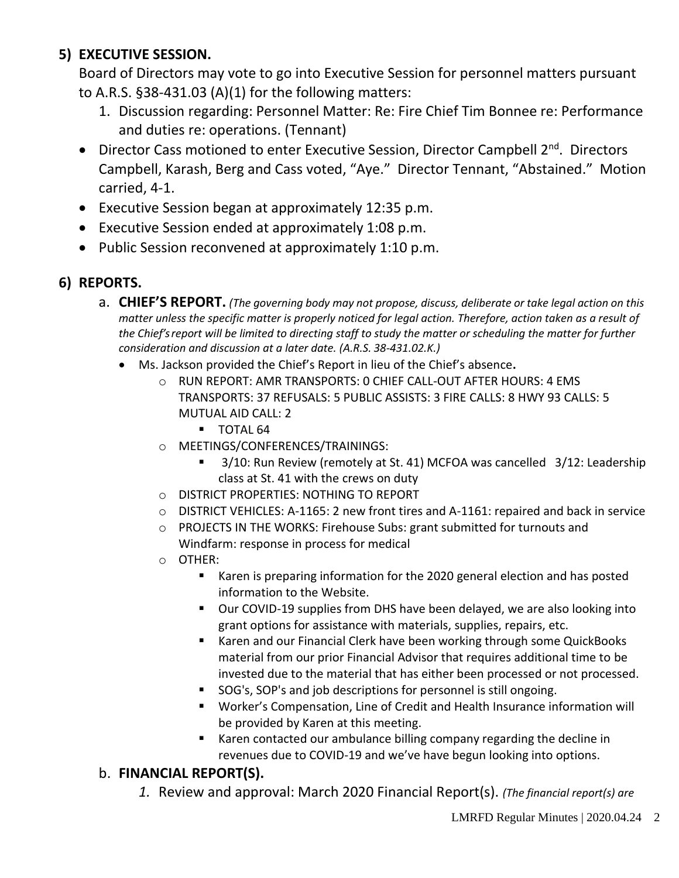# **5) EXECUTIVE SESSION.**

Board of Directors may vote to go into Executive Session for personnel matters pursuant to A.R.S. §38-431.03 (A)(1) for the following matters:

- 1. Discussion regarding: Personnel Matter: Re: Fire Chief Tim Bonnee re: Performance and duties re: operations. (Tennant)
- Director Cass motioned to enter Executive Session, Director Campbell 2<sup>nd</sup>. Directors Campbell, Karash, Berg and Cass voted, "Aye." Director Tennant, "Abstained." Motion carried, 4-1.
- Executive Session began at approximately 12:35 p.m.
- Executive Session ended at approximately 1:08 p.m.
- Public Session reconvened at approximately 1:10 p.m.

## **6) REPORTS.**

- a. **CHIEF'S REPORT.** *(The governing body may not propose, discuss, deliberate or take legal action on this matter unless the specific matter is properly noticed for legal action. Therefore, action taken as a result of the Chief's report will be limited to directing staff to study the matter or scheduling the matter for further consideration and discussion at a later date. (A.R.S. 38-431.02.K.)*
	- Ms. Jackson provided the Chief's Report in lieu of the Chief's absence**.** 
		- $\circ$  RUN REPORT: AMR TRANSPORTS: 0 CHIEF CALL-OUT AFTER HOURS: 4 EMS TRANSPORTS: 37 REFUSALS: 5 PUBLIC ASSISTS: 3 FIRE CALLS: 8 HWY 93 CALLS: 5 MUTUAL AID CALL: 2
			- **TOTAL 64**
		- o MEETINGS/CONFERENCES/TRAININGS:
			- 3/10: Run Review (remotely at St. 41) MCFOA was cancelled 3/12: Leadership class at St. 41 with the crews on duty
		- o DISTRICT PROPERTIES: NOTHING TO REPORT
		- o DISTRICT VEHICLES: A-1165: 2 new front tires and A-1161: repaired and back in service
		- o PROJECTS IN THE WORKS: Firehouse Subs: grant submitted for turnouts and Windfarm: response in process for medical
		- o OTHER:
			- Karen is preparing information for the 2020 general election and has posted information to the Website.
			- Our COVID-19 supplies from DHS have been delayed, we are also looking into grant options for assistance with materials, supplies, repairs, etc.
			- Karen and our Financial Clerk have been working through some QuickBooks material from our prior Financial Advisor that requires additional time to be invested due to the material that has either been processed or not processed.
			- SOG's, SOP's and job descriptions for personnel is still ongoing.
			- Worker's Compensation, Line of Credit and Health Insurance information will be provided by Karen at this meeting.
			- Karen contacted our ambulance billing company regarding the decline in revenues due to COVID-19 and we've have begun looking into options.

# b. **FINANCIAL REPORT(S).**

*1.* Review and approval: March 2020 Financial Report(s). *(The financial report(s) are*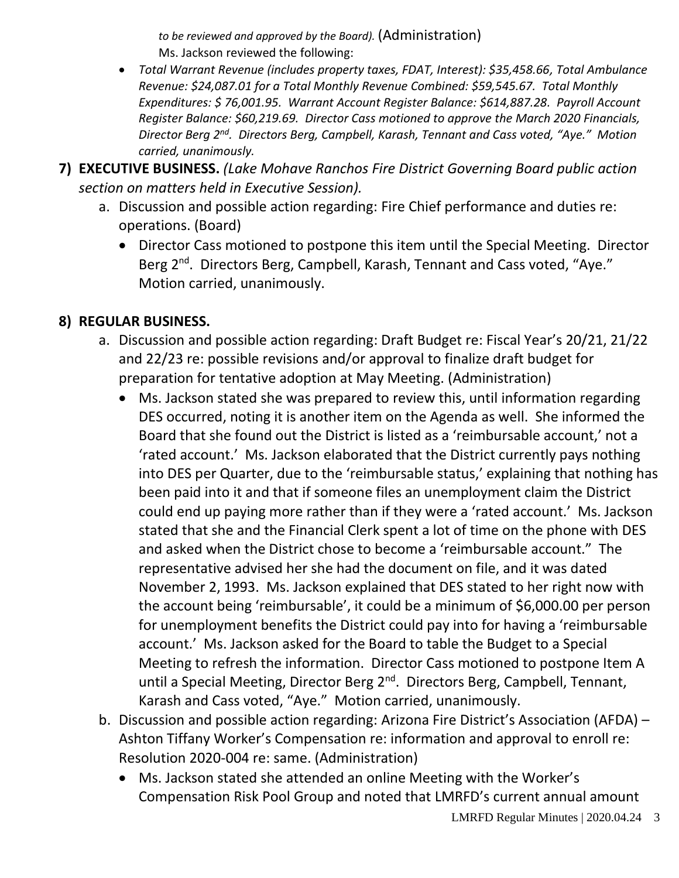*to be reviewed and approved by the Board).* (Administration) Ms. Jackson reviewed the following:

- *Total Warrant Revenue (includes property taxes, FDAT, Interest): \$35,458.66, Total Ambulance Revenue: \$24,087.01 for a Total Monthly Revenue Combined: \$59,545.67. Total Monthly Expenditures: \$ 76,001.95. Warrant Account Register Balance: \$614,887.28. Payroll Account Register Balance: \$60,219.69. Director Cass motioned to approve the March 2020 Financials, Director Berg 2nd. Directors Berg, Campbell, Karash, Tennant and Cass voted, "Aye." Motion carried, unanimously.*
- **7) EXECUTIVE BUSINESS.** *(Lake Mohave Ranchos Fire District Governing Board public action section on matters held in Executive Session).*
	- a. Discussion and possible action regarding: Fire Chief performance and duties re: operations. (Board)
		- Director Cass motioned to postpone this item until the Special Meeting. Director Berg 2<sup>nd</sup>. Directors Berg, Campbell, Karash, Tennant and Cass voted, "Aye." Motion carried, unanimously.

#### **8) REGULAR BUSINESS.**

- a. Discussion and possible action regarding: Draft Budget re: Fiscal Year's 20/21, 21/22 and 22/23 re: possible revisions and/or approval to finalize draft budget for preparation for tentative adoption at May Meeting. (Administration)
	- Ms. Jackson stated she was prepared to review this, until information regarding DES occurred, noting it is another item on the Agenda as well. She informed the Board that she found out the District is listed as a 'reimbursable account,' not a 'rated account.' Ms. Jackson elaborated that the District currently pays nothing into DES per Quarter, due to the 'reimbursable status,' explaining that nothing has been paid into it and that if someone files an unemployment claim the District could end up paying more rather than if they were a 'rated account.' Ms. Jackson stated that she and the Financial Clerk spent a lot of time on the phone with DES and asked when the District chose to become a 'reimbursable account." The representative advised her she had the document on file, and it was dated November 2, 1993. Ms. Jackson explained that DES stated to her right now with the account being 'reimbursable', it could be a minimum of \$6,000.00 per person for unemployment benefits the District could pay into for having a 'reimbursable account.' Ms. Jackson asked for the Board to table the Budget to a Special Meeting to refresh the information. Director Cass motioned to postpone Item A until a Special Meeting, Director Berg 2<sup>nd</sup>. Directors Berg, Campbell, Tennant, Karash and Cass voted, "Aye." Motion carried, unanimously.
- b. Discussion and possible action regarding: Arizona Fire District's Association (AFDA) Ashton Tiffany Worker's Compensation re: information and approval to enroll re: Resolution 2020-004 re: same. (Administration)
	- Ms. Jackson stated she attended an online Meeting with the Worker's Compensation Risk Pool Group and noted that LMRFD's current annual amount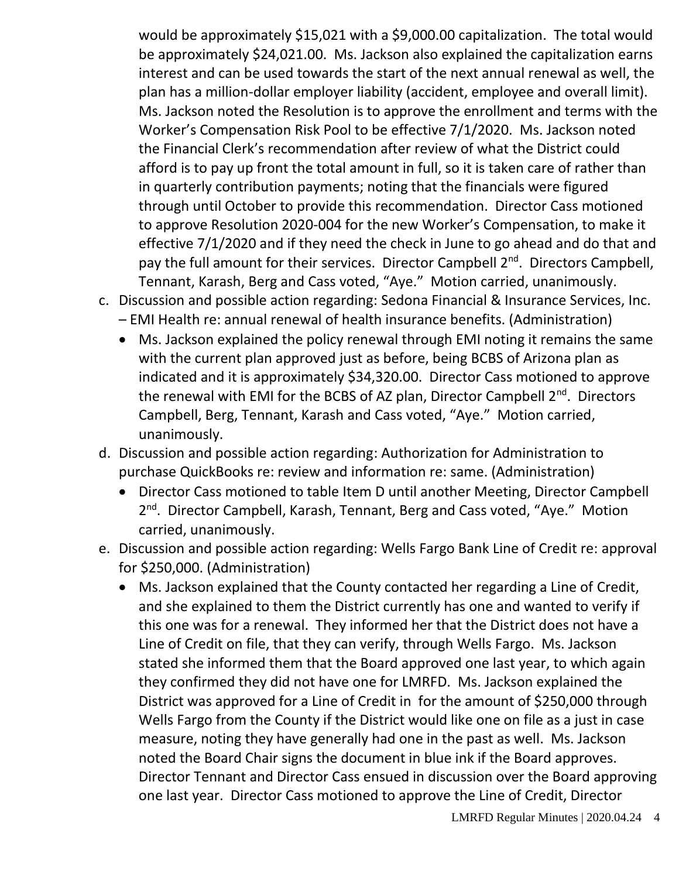would be approximately \$15,021 with a \$9,000.00 capitalization. The total would be approximately \$24,021.00. Ms. Jackson also explained the capitalization earns interest and can be used towards the start of the next annual renewal as well, the plan has a million-dollar employer liability (accident, employee and overall limit). Ms. Jackson noted the Resolution is to approve the enrollment and terms with the Worker's Compensation Risk Pool to be effective 7/1/2020. Ms. Jackson noted the Financial Clerk's recommendation after review of what the District could afford is to pay up front the total amount in full, so it is taken care of rather than in quarterly contribution payments; noting that the financials were figured through until October to provide this recommendation. Director Cass motioned to approve Resolution 2020-004 for the new Worker's Compensation, to make it effective 7/1/2020 and if they need the check in June to go ahead and do that and pay the full amount for their services. Director Campbell 2<sup>nd</sup>. Directors Campbell, Tennant, Karash, Berg and Cass voted, "Aye." Motion carried, unanimously.

- c. Discussion and possible action regarding: Sedona Financial & Insurance Services, Inc.
	- EMI Health re: annual renewal of health insurance benefits. (Administration)
	- Ms. Jackson explained the policy renewal through EMI noting it remains the same with the current plan approved just as before, being BCBS of Arizona plan as indicated and it is approximately \$34,320.00. Director Cass motioned to approve the renewal with EMI for the BCBS of AZ plan, Director Campbell 2<sup>nd</sup>. Directors Campbell, Berg, Tennant, Karash and Cass voted, "Aye." Motion carried, unanimously.
- d. Discussion and possible action regarding: Authorization for Administration to purchase QuickBooks re: review and information re: same. (Administration)
	- Director Cass motioned to table Item D until another Meeting, Director Campbell 2<sup>nd</sup>. Director Campbell, Karash, Tennant, Berg and Cass voted, "Aye." Motion carried, unanimously.
- e. Discussion and possible action regarding: Wells Fargo Bank Line of Credit re: approval for \$250,000. (Administration)
	- Ms. Jackson explained that the County contacted her regarding a Line of Credit, and she explained to them the District currently has one and wanted to verify if this one was for a renewal. They informed her that the District does not have a Line of Credit on file, that they can verify, through Wells Fargo. Ms. Jackson stated she informed them that the Board approved one last year, to which again they confirmed they did not have one for LMRFD. Ms. Jackson explained the District was approved for a Line of Credit in for the amount of \$250,000 through Wells Fargo from the County if the District would like one on file as a just in case measure, noting they have generally had one in the past as well. Ms. Jackson noted the Board Chair signs the document in blue ink if the Board approves. Director Tennant and Director Cass ensued in discussion over the Board approving one last year. Director Cass motioned to approve the Line of Credit, Director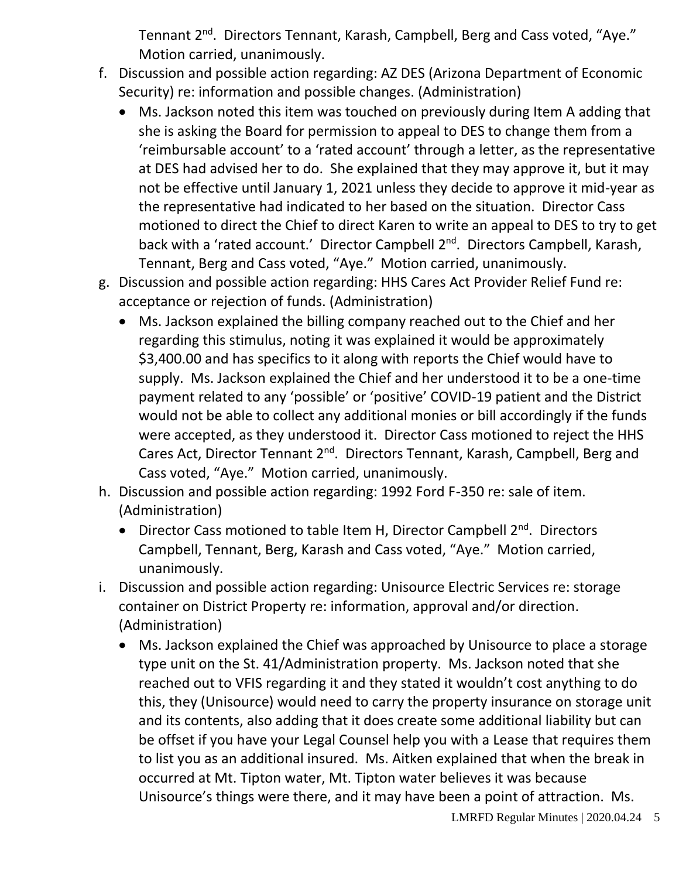Tennant 2<sup>nd</sup>. Directors Tennant, Karash, Campbell, Berg and Cass voted, "Aye." Motion carried, unanimously.

- f. Discussion and possible action regarding: AZ DES (Arizona Department of Economic Security) re: information and possible changes. (Administration)
	- Ms. Jackson noted this item was touched on previously during Item A adding that she is asking the Board for permission to appeal to DES to change them from a 'reimbursable account' to a 'rated account' through a letter, as the representative at DES had advised her to do. She explained that they may approve it, but it may not be effective until January 1, 2021 unless they decide to approve it mid-year as the representative had indicated to her based on the situation. Director Cass motioned to direct the Chief to direct Karen to write an appeal to DES to try to get back with a 'rated account.' Director Campbell 2<sup>nd</sup>. Directors Campbell, Karash, Tennant, Berg and Cass voted, "Aye." Motion carried, unanimously.
- g. Discussion and possible action regarding: HHS Cares Act Provider Relief Fund re: acceptance or rejection of funds. (Administration)
	- Ms. Jackson explained the billing company reached out to the Chief and her regarding this stimulus, noting it was explained it would be approximately \$3,400.00 and has specifics to it along with reports the Chief would have to supply. Ms. Jackson explained the Chief and her understood it to be a one-time payment related to any 'possible' or 'positive' COVID-19 patient and the District would not be able to collect any additional monies or bill accordingly if the funds were accepted, as they understood it. Director Cass motioned to reject the HHS Cares Act, Director Tennant 2nd. Directors Tennant, Karash, Campbell, Berg and Cass voted, "Aye." Motion carried, unanimously.
- h. Discussion and possible action regarding: 1992 Ford F-350 re: sale of item. (Administration)
	- Director Cass motioned to table Item H, Director Campbell 2<sup>nd</sup>. Directors Campbell, Tennant, Berg, Karash and Cass voted, "Aye." Motion carried, unanimously.
- i. Discussion and possible action regarding: Unisource Electric Services re: storage container on District Property re: information, approval and/or direction. (Administration)
	- Ms. Jackson explained the Chief was approached by Unisource to place a storage type unit on the St. 41/Administration property. Ms. Jackson noted that she reached out to VFIS regarding it and they stated it wouldn't cost anything to do this, they (Unisource) would need to carry the property insurance on storage unit and its contents, also adding that it does create some additional liability but can be offset if you have your Legal Counsel help you with a Lease that requires them to list you as an additional insured. Ms. Aitken explained that when the break in occurred at Mt. Tipton water, Mt. Tipton water believes it was because Unisource's things were there, and it may have been a point of attraction. Ms.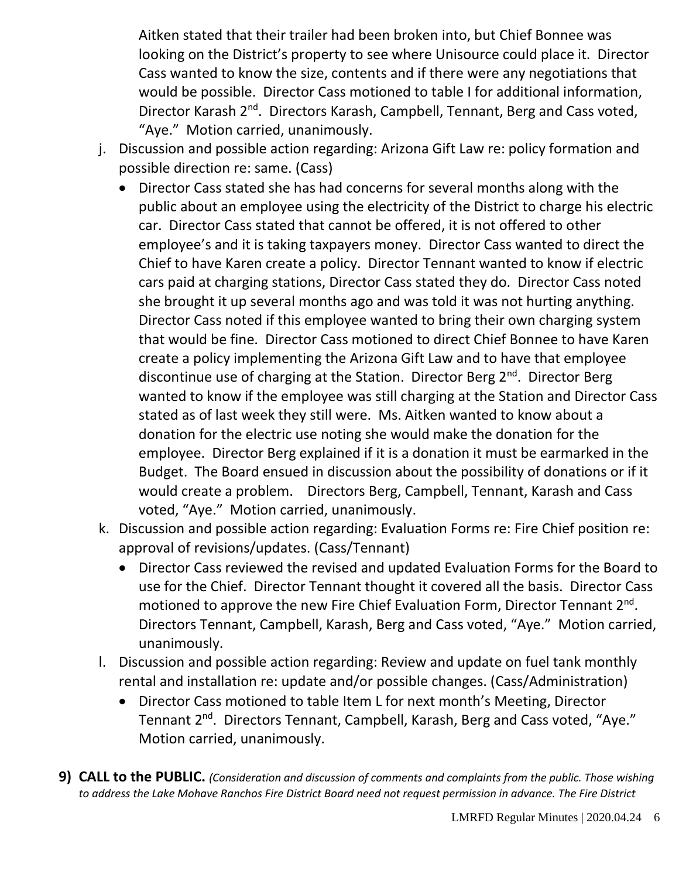Aitken stated that their trailer had been broken into, but Chief Bonnee was looking on the District's property to see where Unisource could place it. Director Cass wanted to know the size, contents and if there were any negotiations that would be possible. Director Cass motioned to table I for additional information, Director Karash 2<sup>nd</sup>. Directors Karash, Campbell, Tennant, Berg and Cass voted, "Aye." Motion carried, unanimously.

- j. Discussion and possible action regarding: Arizona Gift Law re: policy formation and possible direction re: same. (Cass)
	- Director Cass stated she has had concerns for several months along with the public about an employee using the electricity of the District to charge his electric car. Director Cass stated that cannot be offered, it is not offered to other employee's and it is taking taxpayers money. Director Cass wanted to direct the Chief to have Karen create a policy. Director Tennant wanted to know if electric cars paid at charging stations, Director Cass stated they do. Director Cass noted she brought it up several months ago and was told it was not hurting anything. Director Cass noted if this employee wanted to bring their own charging system that would be fine. Director Cass motioned to direct Chief Bonnee to have Karen create a policy implementing the Arizona Gift Law and to have that employee discontinue use of charging at the Station. Director Berg 2<sup>nd</sup>. Director Berg wanted to know if the employee was still charging at the Station and Director Cass stated as of last week they still were. Ms. Aitken wanted to know about a donation for the electric use noting she would make the donation for the employee. Director Berg explained if it is a donation it must be earmarked in the Budget. The Board ensued in discussion about the possibility of donations or if it would create a problem. Directors Berg, Campbell, Tennant, Karash and Cass voted, "Aye." Motion carried, unanimously.
- k. Discussion and possible action regarding: Evaluation Forms re: Fire Chief position re: approval of revisions/updates. (Cass/Tennant)
	- Director Cass reviewed the revised and updated Evaluation Forms for the Board to use for the Chief. Director Tennant thought it covered all the basis. Director Cass motioned to approve the new Fire Chief Evaluation Form, Director Tennant 2<sup>nd</sup>. Directors Tennant, Campbell, Karash, Berg and Cass voted, "Aye." Motion carried, unanimously.
- l. Discussion and possible action regarding: Review and update on fuel tank monthly rental and installation re: update and/or possible changes. (Cass/Administration)
	- Director Cass motioned to table Item L for next month's Meeting, Director Tennant 2<sup>nd</sup>. Directors Tennant, Campbell, Karash, Berg and Cass voted, "Aye." Motion carried, unanimously.
- **9) CALL to the PUBLIC.** *(Consideration and discussion of comments and complaints from the public. Those wishing to address the Lake Mohave Ranchos Fire District Board need not request permission in advance. The Fire District*